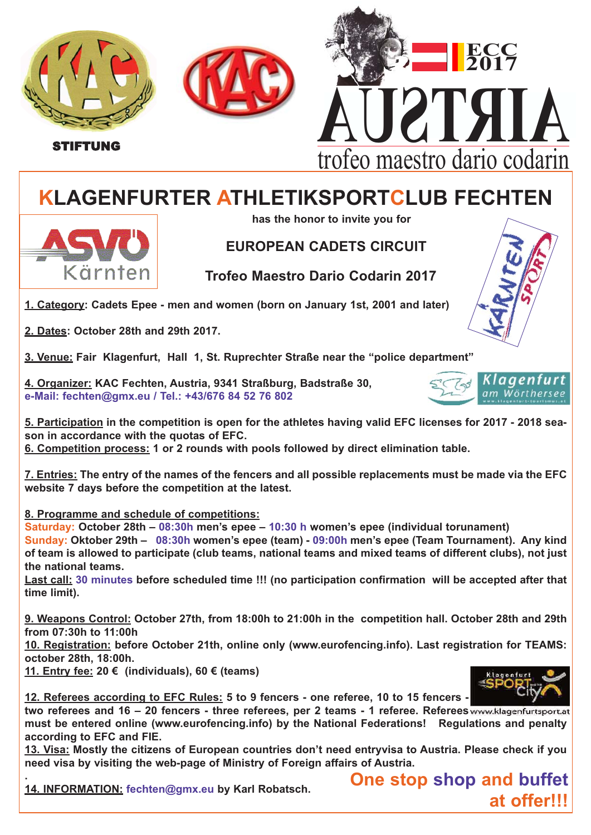



STIFTUNG



## **KLAGENFURTER ATHLETIKSPORTCLUB FECHTEN**

**has the honor to invite you for**

## **EUROPEAN CADETS CIRCUIT**

**Trofeo Maestro Dario Codarin 2017**

**1. Category: Cadets Epee - men and women (born on January 1st, 2001 and later)** 

**2. Dates: October 28th and 29th 2017.** 

Kärnten

**3. Venue: Fair Klagenfurt, Hall 1, St. Ruprechter Straße near the "police department"** 

**4. Organizer: KAC Fechten, Austria, 9341 Straßburg, Badstraße 30, e-Mail: fechten@gmx.eu / Tel.: +43/676 84 52 76 802**



**5. Participation in the competition is open for the athletes having valid EFC licenses for 2017 - 2018 season in accordance with the quotas of EFC.**

**6. Competition process: 1 or 2 rounds with pools followed by direct elimination table.** 

**7. Entries: The entry of the names of the fencers and all possible replacements must be made via the EFC website 7 days before the competition at the latest.**

**8. Programme and schedule of competitions:**

**Saturday: October 28th – 08:30h men's epee – 10:30 h women's epee (individual torunament) Sunday: Oktober 29th – 08:30h women's epee (team) - 09:00h men's epee (Team Tournament). Any kind of team is allowed to participate (club teams, national teams and mixed teams of different clubs), not just the national teams.** 

**Last call: 30 minutes before scheduled time !!! (no participation confirmation will be accepted after that time limit).** 

**9. Weapons Control: October 27th, from 18:00h to 21:00h in the competition hall. October 28th and 29th from 07:30h to 11:00h** 

**10. Registration: before October 21th, online only (www.eurofencing.info). Last registration for TEAMS: october 28th, 18:00h.** 

**11. Entry fee: 20 € (individuals), 60 € (teams)**



**12. Referees according to EFC Rules: 5 to 9 fencers - one referee, 10 to 15 fencers -**

**two referees and 16 – 20 fencers - three referees, per 2 teams - 1 referee. Referees must be entered online (www.eurofencing.info) by the National Federations! Regulations and penalty according to EFC and FIE.**

**13. Visa: Mostly the citizens of European countries don't need entryvisa to Austria. Please check if you need visa by visiting the web-page of Ministry of Foreign affairs of Austria.**

**. 14. INFORMATION: fechten@gmx.eu by Karl Robatsch.**  **One stop shop and buffet at offer!!!**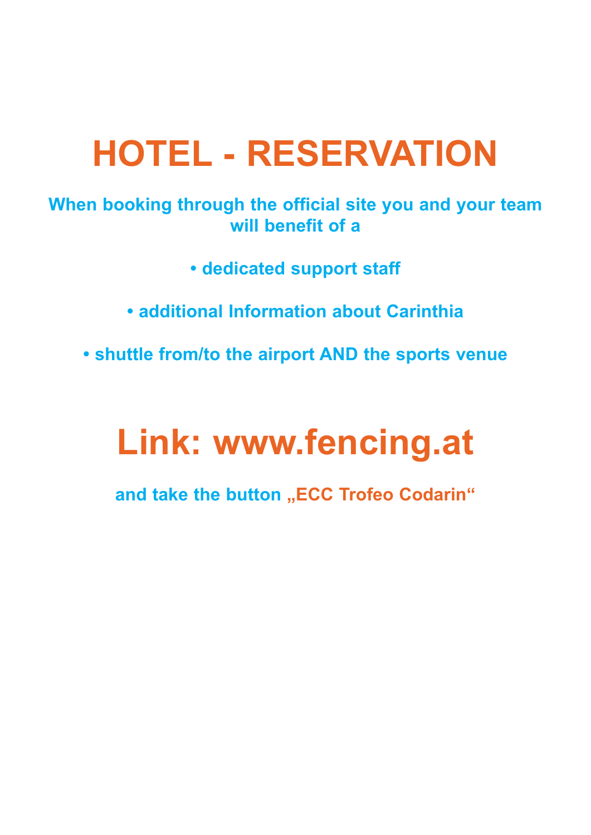## **HOTEL - RESERVATION**

**When booking through the official site you and your team will benefit of a**

- **dedicated support staff**
- **additional Information about Carinthia**
- **shuttle from/to the airport AND the sports venue**

## **Link: www.fencing.at**

and take the button "ECC Trofeo Codarin"